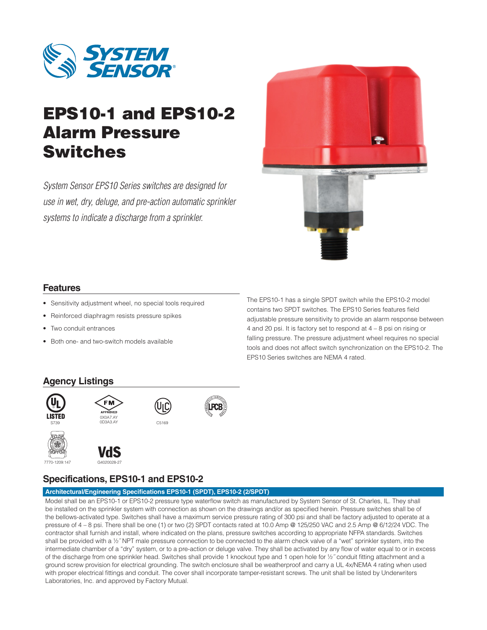

# EPS10-1 and EPS10-2 Alarm Pressure Switches

*System Sensor EPS10 Series switches are designed for use in wet, dry, deluge, and pre-action automatic sprinkler systems to indicate a discharge from a sprinkler.*



### **Features**

- Sensitivity adjustment wheel, no special tools required
- • Reinforced diaphragm resists pressure spikes
- • Two conduit entrances
- Both one- and two-switch models available

The EPS10-1 has a single SPDT switch while the EPS10-2 model contains two SPDT switches. The EPS10 Series features field adjustable pressure sensitivity to provide an alarm response between 4 and 20 psi. It is factory set to respond at 4 – 8 psi on rising or falling pressure. The pressure adjustment wheel requires no special tools and does not affect switch synchronization on the EPS10-2. The EPS10 Series switches are NEMA 4 rated.

### **Agency Listings**



## **Specifications, EPS10-1 and EPS10-2**

### **Architectural/Engineering Specifications EPS10-1 (SPDT), EPS10-2 (2/SPDT)**

Model shall be an EPS10-1 or EPS10-2 pressure type waterflow switch as manufactured by System Sensor of St. Charles, IL. They shall be installed on the sprinkler system with connection as shown on the drawings and/or as specified herein. Pressure switches shall be of the bellows-activated type. Switches shall have a maximum service pressure rating of 300 psi and shall be factory adjusted to operate at a pressure of 4 – 8 psi. There shall be one (1) or two (2) SPDT contacts rated at 10.0 Amp @ 125/250 VAC and 2.5 Amp @ 6/12/24 VDC. The contractor shall furnish and install, where indicated on the plans, pressure switches according to appropriate NFPA standards. Switches shall be provided with a 1/2" NPT male pressure connection to be connected to the alarm check valve of a "wet" sprinkler system, into the intermediate chamber of a "dry" system, or to a pre-action or deluge valve. They shall be activated by any flow of water equal to or in excess of the discharge from one sprinkler head. Switches shall provide 1 knockout type and 1 open hole for ½˝ conduit fitting attachment and a ground screw provision for electrical grounding. The switch enclosure shall be weatherproof and carry a UL 4x/NEMA 4 rating when used with proper electrical fittings and conduit. The cover shall incorporate tamper-resistant screws. The unit shall be listed by Underwriters Laboratories, Inc. and approved by Factory Mutual.